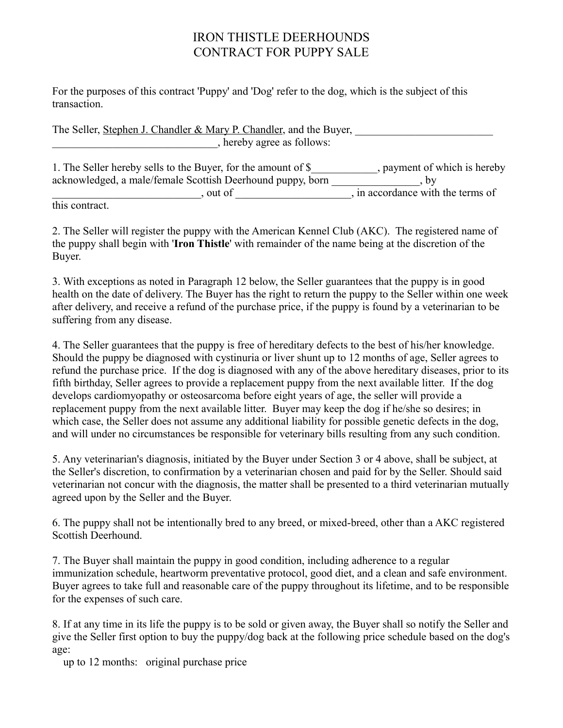## IRON THISTLE DEERHOUNDS CONTRACT FOR PUPPY SALE

For the purposes of this contract 'Puppy' and 'Dog' refer to the dog, which is the subject of this transaction.

The Seller, Stephen J. Chandler & Mary P. Chandler, and the Buyer, , hereby agree as follows:

| 1. The Seller hereby sells to the Buyer, for the amount of \$ | , payment of which is hereby      |
|---------------------------------------------------------------|-----------------------------------|
| acknowledged, a male/female Scottish Deerhound puppy, born    |                                   |
| out of                                                        | , in accordance with the terms of |
| this contract                                                 |                                   |

this contract.

2. The Seller will register the puppy with the American Kennel Club (AKC). The registered name of the puppy shall begin with '**Iron Thistle**' with remainder of the name being at the discretion of the Buyer.

3. With exceptions as noted in Paragraph 12 below, the Seller guarantees that the puppy is in good health on the date of delivery. The Buyer has the right to return the puppy to the Seller within one week after delivery, and receive a refund of the purchase price, if the puppy is found by a veterinarian to be suffering from any disease.

4. The Seller guarantees that the puppy is free of hereditary defects to the best of his/her knowledge. Should the puppy be diagnosed with cystinuria or liver shunt up to 12 months of age, Seller agrees to refund the purchase price. If the dog is diagnosed with any of the above hereditary diseases, prior to its fifth birthday, Seller agrees to provide a replacement puppy from the next available litter. If the dog develops cardiomyopathy or osteosarcoma before eight years of age, the seller will provide a replacement puppy from the next available litter. Buyer may keep the dog if he/she so desires; in which case, the Seller does not assume any additional liability for possible genetic defects in the dog, and will under no circumstances be responsible for veterinary bills resulting from any such condition.

5. Any veterinarian's diagnosis, initiated by the Buyer under Section 3 or 4 above, shall be subject, at the Seller's discretion, to confirmation by a veterinarian chosen and paid for by the Seller. Should said veterinarian not concur with the diagnosis, the matter shall be presented to a third veterinarian mutually agreed upon by the Seller and the Buyer.

6. The puppy shall not be intentionally bred to any breed, or mixed-breed, other than a AKC registered Scottish Deerhound.

7. The Buyer shall maintain the puppy in good condition, including adherence to a regular immunization schedule, heartworm preventative protocol, good diet, and a clean and safe environment. Buyer agrees to take full and reasonable care of the puppy throughout its lifetime, and to be responsible for the expenses of such care.

8. If at any time in its life the puppy is to be sold or given away, the Buyer shall so notify the Seller and give the Seller first option to buy the puppy/dog back at the following price schedule based on the dog's age:

up to 12 months: original purchase price